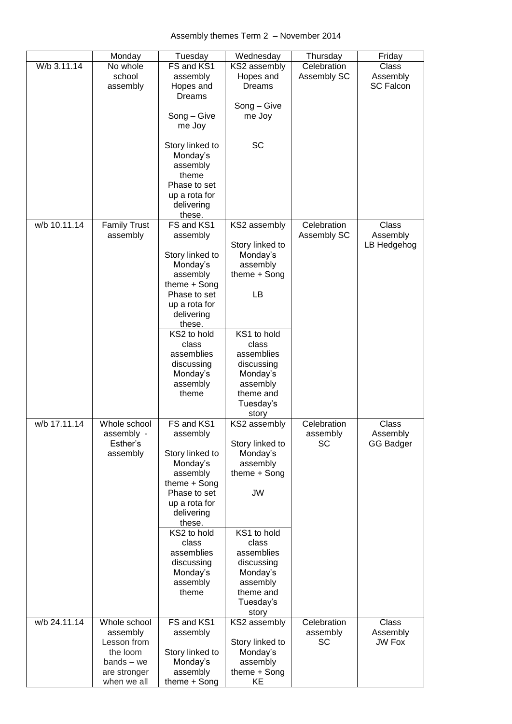## Assembly themes Term 2 – November 2014

|              | Monday                                                                                             | Tuesday                                                                                                                                                            | Wednesday                                                                                                    | Thursday                             | Friday                                |
|--------------|----------------------------------------------------------------------------------------------------|--------------------------------------------------------------------------------------------------------------------------------------------------------------------|--------------------------------------------------------------------------------------------------------------|--------------------------------------|---------------------------------------|
| W/b 3.11.14  | No whole<br>school<br>assembly                                                                     | FS and KS1<br>assembly<br>Hopes and<br><b>Dreams</b><br>Song - Give<br>me Joy                                                                                      | KS2 assembly<br>Hopes and<br>Dreams<br>Song – Give<br>me Joy                                                 | Celebration<br>Assembly SC           | Class<br>Assembly<br><b>SC Falcon</b> |
|              |                                                                                                    | Story linked to<br>Monday's<br>assembly<br>theme<br>Phase to set<br>up a rota for<br>delivering<br>these.                                                          | SC                                                                                                           |                                      |                                       |
| w/b 10.11.14 | <b>Family Trust</b><br>assembly                                                                    | FS and KS1<br>assembly<br>Story linked to<br>Monday's<br>assembly<br>theme + Song<br>Phase to set<br>up a rota for<br>delivering<br>these.                         | KS2 assembly<br>Story linked to<br>Monday's<br>assembly<br>theme + Song<br>LB                                | Celebration<br>Assembly SC           | Class<br>Assembly<br>LB Hedgehog      |
|              |                                                                                                    | KS2 to hold<br>class<br>assemblies<br>discussing<br>Monday's<br>assembly<br>theme                                                                                  | KS1 to hold<br>class<br>assemblies<br>discussing<br>Monday's<br>assembly<br>theme and<br>Tuesday's<br>story  |                                      |                                       |
| w/b 17.11.14 | Whole school<br>assembly<br>Esther's<br>assembly                                                   | FS and KS1<br>assembly<br>Story linked to<br>Monday's<br>assembly<br>theme + Song<br>Phase to set<br>up a rota for<br>delivering<br>these.<br>KS2 to hold<br>class | KS2 assembly<br>Story linked to<br>Monday's<br>assembly<br>theme + Song<br><b>JW</b><br>KS1 to hold<br>class | Celebration<br>assembly<br><b>SC</b> | Class<br>Assembly<br>GG Badger        |
|              |                                                                                                    | assemblies<br>discussing<br>Monday's<br>assembly<br>theme                                                                                                          | assemblies<br>discussing<br>Monday's<br>assembly<br>theme and<br>Tuesday's<br>story                          |                                      |                                       |
| w/b 24.11.14 | Whole school<br>assembly<br>Lesson from<br>the loom<br>$bands - we$<br>are stronger<br>when we all | FS and KS1<br>assembly<br>Story linked to<br>Monday's<br>assembly<br>theme + Song                                                                                  | KS2 assembly<br>Story linked to<br>Monday's<br>assembly<br>theme + Song<br>KE                                | Celebration<br>assembly<br><b>SC</b> | Class<br>Assembly<br><b>JW Fox</b>    |